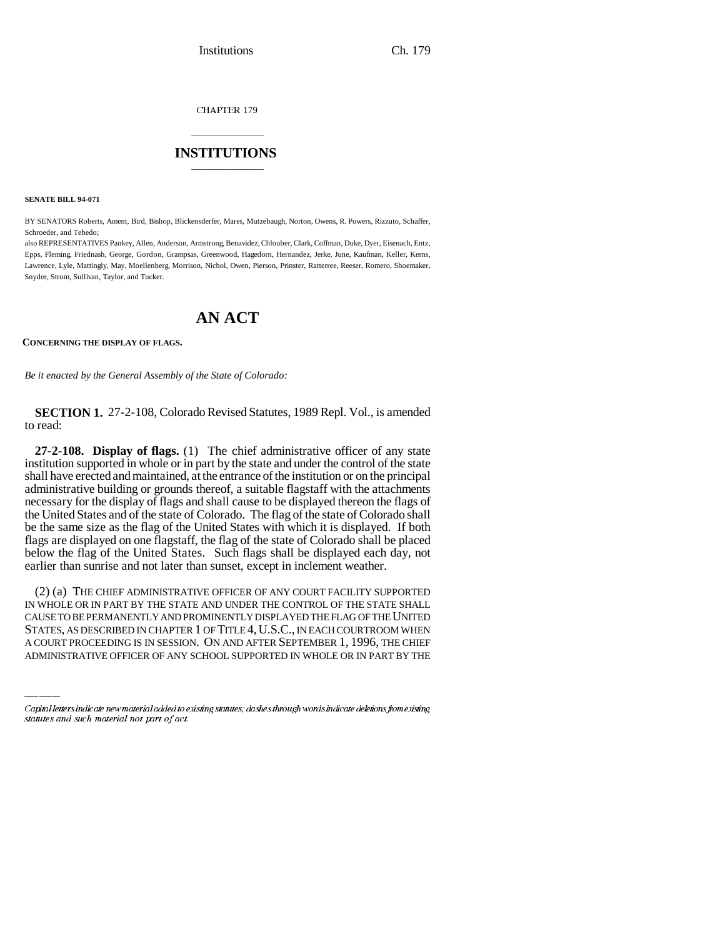Institutions Ch. 179

CHAPTER 179

## \_\_\_\_\_\_\_\_\_\_\_\_\_\_\_ **INSTITUTIONS** \_\_\_\_\_\_\_\_\_\_\_\_\_\_\_

**SENATE BILL 94-071**

BY SENATORS Roberts, Ament, Bird, Bishop, Blickensderfer, Mares, Mutzebaugh, Norton, Owens, R. Powers, Rizzuto, Schaffer, Schroeder, and Tebedo;

also REPRESENTATIVES Pankey, Allen, Anderson, Armstrong, Benavidez, Chlouber, Clark, Coffman, Duke, Dyer, Eisenach, Entz, Epps, Fleming, Friednash, George, Gordon, Grampsas, Greenwood, Hagedorn, Hernandez, Jerke, June, Kaufman, Keller, Kerns, Lawrence, Lyle, Mattingly, May, Moellenberg, Morrison, Nichol, Owen, Pierson, Prinster, Ratterree, Reeser, Romero, Shoemaker, Snyder, Strom, Sullivan, Taylor, and Tucker.

## **AN ACT**

**CONCERNING THE DISPLAY OF FLAGS.**

*Be it enacted by the General Assembly of the State of Colorado:*

**SECTION 1.** 27-2-108, Colorado Revised Statutes, 1989 Repl. Vol., is amended to read:

**27-2-108. Display of flags.** (1) The chief administrative officer of any state institution supported in whole or in part by the state and under the control of the state shall have erected and maintained, at the entrance of the institution or on the principal administrative building or grounds thereof, a suitable flagstaff with the attachments necessary for the display of flags and shall cause to be displayed thereon the flags of the United States and of the state of Colorado. The flag of the state of Colorado shall be the same size as the flag of the United States with which it is displayed. If both flags are displayed on one flagstaff, the flag of the state of Colorado shall be placed below the flag of the United States. Such flags shall be displayed each day, not earlier than sunrise and not later than sunset, except in inclement weather.

IN WHOLE OR IN PART BY THE STATE AND UNDER THE CONTROL OF THE STATE SHALL (2) (a) THE CHIEF ADMINISTRATIVE OFFICER OF ANY COURT FACILITY SUPPORTED CAUSE TO BE PERMANENTLY AND PROMINENTLY DISPLAYED THE FLAG OF THE UNITED STATES, AS DESCRIBED IN CHAPTER 1 OF TITLE 4, U.S.C., IN EACH COURTROOM WHEN A COURT PROCEEDING IS IN SESSION. ON AND AFTER SEPTEMBER 1, 1996, THE CHIEF ADMINISTRATIVE OFFICER OF ANY SCHOOL SUPPORTED IN WHOLE OR IN PART BY THE

Capital letters indicate new material added to existing statutes; dashes through words indicate deletions from existing statutes and such material not part of act.